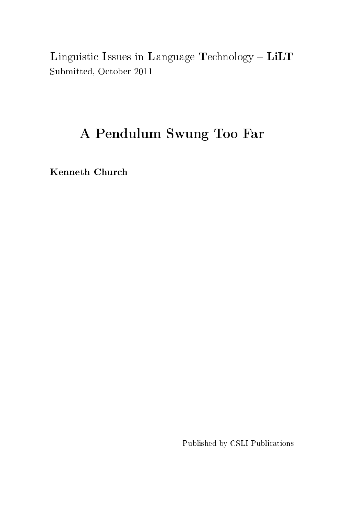Linguistic Issues in Language Technology - LiLT Submitted, October 2011

# A Pendulum Swung Too Far

Kenneth Church

Published by CSLI Publications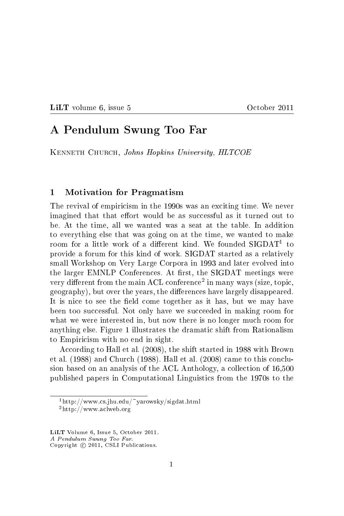LILT volume 6, issue 5 October 2011

# A Pendulum Swung Too Far

KENNETH CHURCH, Johns Hopkins University, HLTCOE

#### 1 Motivation for Pragmatism

The revival of empiricism in the 1990s was an exciting time. We never imagined that that effort would be as successful as it turned out to be. At the time, all we wanted was a seat at the table. In addition to everything else that was going on at the time, we wanted to make room for a little work of a different kind. We founded  $SIGDATA$  to provide a forum for this kind of work. SIGDAT started as a relatively small Workshop on Very Large Corpora in 1993 and later evolved into the larger EMNLP Conferences. At first, the SIGDAT meetings were very different from the main ACL conference $^2$  in many ways (size, topic, geography), but over the years, the differences have largely disappeared. It is nice to see the field come together as it has, but we may have been too successful. Not only have we succeeded in making room for what we were interested in, but now there is no longer much room for anything else. Figure 1 illustrates the dramatic shift from Rationalism to Empiricism with no end in sight.

According to Hall et al. (2008), the shift started in 1988 with Brown et al. (1988) and Church (1988). Hall et al. (2008) came to this conclusion based on an analysis of the ACL Anthology, a collection of 16,500 published papers in Computational Linguistics from the 1970s to the

<sup>1</sup>http://www.cs.jhu.edu/~yarowsky/sigdat.html  $^{2}$ http://www.aclweb.org

LiLT Volume 6, Issue 5, October 2011.

A Pendulum Swung Too Far.

Copyright © 2011, CSLI Publications.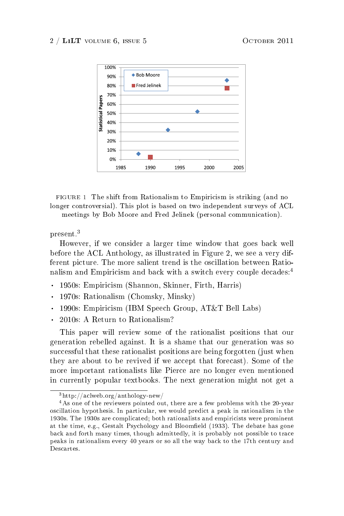#### $2 / LiLT$  volume 6, issue 5 October 2011



FIGURE 1 The shift from Rationalism to Empiricism is striking (and no longer controversial). This plot is based on two independent surveys of ACL meetings by Bob Moore and Fred Jelinek (personal communication).

#### present.<sup>3</sup>

However, if we consider a larger time window that goes back well before the ACL Anthology, as illustrated in Figure 2, we see a very different picture. The more salient trend is the oscillation between Rationalism and Empiricism and back with a switch every couple decades:<sup>4</sup><br>• 1950s: Empiricism (Shannon, Skinner, Firth, Harris)

- . 1950s: Empiricism (Shannon, Skinner, Firth, Harris)<br>. 1970s: Rationalism (Chomsky, Minsky)
- 
- . 1970s: Rationalism (Chomsky, Minsky)<br>1990s: Empiricism (IBM Speech Group, AT&T Bell Labs) . 1990s: Empiricism (IBM Speech <br> 2010s: A Return to Rationalism?
- 

This paper will review some of the rationalist positions that our generation rebelled against. It is a shame that our generation was so successful that these rationalist positions are being forgotten (just when they are about to be revived if we accept that forecast). Some of the more important rationalists like Pierce are no longer even mentioned in currently popular textbooks. The next generation might not get a

<sup>3</sup>http://aclweb.org/anthology-new/

<sup>4</sup>As one of the reviewers pointed out, there are a few problems with the 20-year oscillation hypothesis. In particular, we would predict a peak in rationalism in the 1930s. The 1930s are complicated; both rationalists and empiricists were prominent at the time, e.g., Gestalt Psychology and Bloomfield (1933). The debate has gone back and forth many times, though admittedly, it is probably not possible to trace peaks in rationalism every 40 years or so all the way back to the 17th century and Descartes.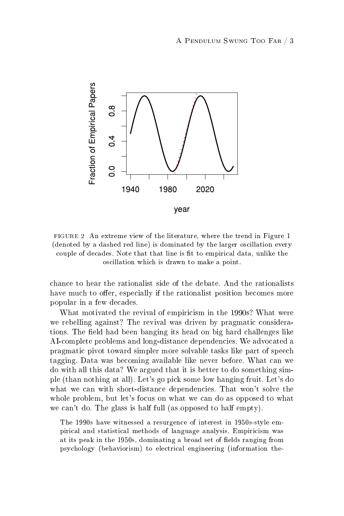

FIGURE 2 An extreme view of the literature, where the trend in Figure 1 (denoted by a dashed red line) is dominated by the larger oscillation every couple of decades. Note that that line is fit to empirical data, unlike the oscillation which is drawn to make a point.

chance to hear the rationalist side of the debate. And the rationalists have much to offer, especially if the rationalist position becomes more popular in a few decades.

What motivated the revival of empiricism in the 1990s? What were we rebelling against? The revival was driven by pragmatic considerations. The field had been banging its head on big hard challenges like AI-complete problems and long-distance dependencies. We advocated a pragmatic pivot toward simpler more solvable tasks like part of speech tagging. Data was becoming available like never before. What can we do with all this data? We argued that it is better to do something simple (than nothing at all). Let's go pick some low hanging fruit. Let's do what we can with short-distance dependencies. That won't solve the whole problem, but let's focus on what we can do as opposed to what we can't do. The glass is half full (as opposed to half empty).

The 1990s have witnessed a resurgence of interest in 1950s-style empirical and statistical methods of language analysis. Empiricism was at its peak in the 1950s, dominating a broad set of fields ranging from psychology (behaviorism) to electrical engineering (information the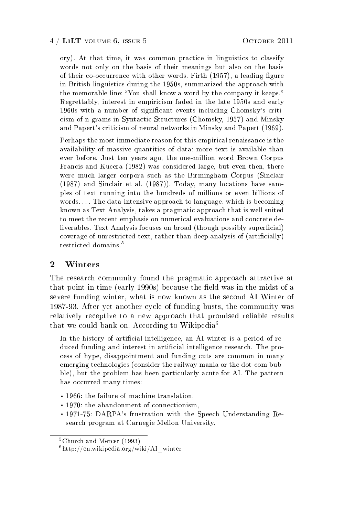ory). At that time, it was common practice in linguistics to classify words not only on the basis of their meanings but also on the basis of their co-occurrence with other words. Firth  $(1957)$ , a leading figure in British linguistics during the 1950s, summarized the approach with the memorable line: "You shall know a word by the company it keeps." Regrettably, interest in empiricism faded in the late 1950s and early 1960s with a number of signicant events including Chomsky's criticism of n-grams in Syntactic Structures (Chomsky, 1957) and Minsky and Papert's criticism of neural networks in Minsky and Papert (1969).

Perhaps the most immediate reason for this empirical renaissance is the availability of massive quantities of data: more text is available than ever before. Just ten years ago, the one-million word Brown Corpus Francis and Kucera (1982) was considered large, but even then, there were much larger corpora such as the Birmingham Corpus (Sinclair (1987) and Sinclair et al. (1987)). Today, many locations have samples of text running into the hundreds of millions or even billions of words. . . . The data-intensive approach to language, which is becoming known as Text Analysis, takes a pragmatic approach that is well suited to meet the recent emphasis on numerical evaluations and concrete deliverables. Text Analysis focuses on broad (though possibly superficial) coverage of unrestricted text, rather than deep analysis of (articially) restricted domains.<sup>5</sup>

# 2 Winters

The research community found the pragmatic approach attractive at that point in time (early 1990s) because the field was in the midst of a severe funding winter, what is now known as the second AI Winter of 1987-93. After yet another cycle of funding busts, the community was relatively receptive to a new approach that promised reliable results that we could bank on. According to Wikipedia<sup>6</sup>

In the history of artificial intelligence, an AI winter is a period of reduced funding and interest in artificial intelligence research. The process of hype, disappointment and funding cuts are common in many emerging technologies (consider the railway mania or the dot-com bubble), but the problem has been particularly acute for AI. The pattern has occurred many times:

- . 1966: the failure of machine translation,
- . 1970: the abandonment of connectionism,
- . 1971-75: DARPA's frustration with the Speech Understanding Research program at Carnegie Mellon University,

<sup>5</sup>Church and Mercer (1993)

 $6$ http://en.wikipedia.org/wiki/AI\_winter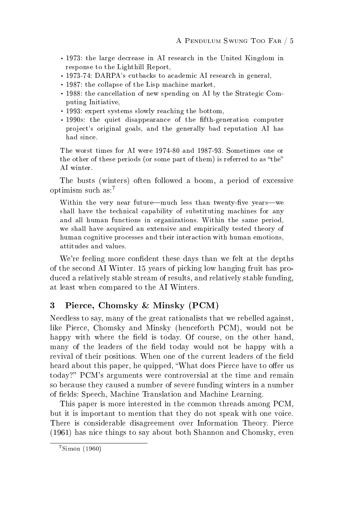- . 1973: the large decrease in AI research in the United Kingdom in response to the Lighthill Report, . 1973-74: DARPA's cutbacks to academic AI research in general,
- . 1973-74: DARPA's cutbacks to academic AI re<br>
1987: the collapse of the Lisp machine market,
- 
- . 1988: the cancellation of new spending on AI by the Strategic Computing Initiative,
- . 1993: expert systems slowly reaching the bottom,
- . 1990s: the quiet disappearance of the fifth-generation computer project's original goals, and the generally bad reputation AI has had since.

The worst times for AI were 1974-80 and 1987-93. Sometimes one or the other of these periods (or some part of them) is referred to as "the" AI winter.

The busts (winters) often followed a boom, a period of excessive optimism such as:<sup>7</sup>

Within the very near future—much less than twenty-five years—we shall have the technical capability of substituting machines for any and all human functions in organizations. Within the same period, we shall have acquired an extensive and empirically tested theory of human cognitive processes and their interaction with human emotions, attitudes and values.

We're feeling more confident these days than we felt at the depths of the second AI Winter. 15 years of picking low hanging fruit has produced a relatively stable stream of results, and relatively stable funding, at least when compared to the AI Winters.

# 3 Pierce, Chomsky & Minsky (PCM)

Needless to say, many of the great rationalists that we rebelled against, like Pierce, Chomsky and Minsky (henceforth PCM), would not be happy with where the field is today. Of course, on the other hand, many of the leaders of the field today would not be happy with a revival of their positions. When one of the current leaders of the field heard about this paper, he quipped, "What does Pierce have to offer us today?" PCM's arguments were controversial at the time and remain so because they caused a number of severe funding winters in a number of fields: Speech, Machine Translation and Machine Learning.

This paper is more interested in the common threads among PCM, but it is important to mention that they do not speak with one voice. There is considerable disagreement over Information Theory. Pierce (1961) has nice things to say about both Shannon and Chomsky, even

<sup>7</sup>Simon (1960)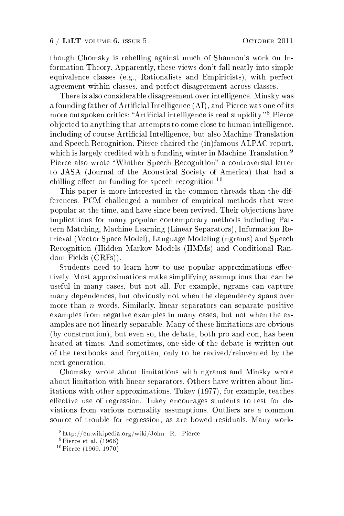though Chomsky is rebelling against much of Shannon's work on Information Theory. Apparently, these views don't fall neatly into simple equivalence classes (e.g., Rationalists and Empiricists), with perfect agreement within classes, and perfect disagreement across classes.

There is also considerable disagreement over intelligence. Minsky was a founding father of Artificial Intelligence (AI), and Pierce was one of its more outspoken critics: "Artificial intelligence is real stupidity."<sup>8</sup> Pierce objected to anything that attempts to come close to human intelligence, including of course Artificial Intelligence, but also Machine Translation and Speech Recognition. Pierce chaired the (in)famous ALPAC report, which is largely credited with a funding winter in Machine Translation.<sup>9</sup> Pierce also wrote "Whither Speech Recognition" a controversial letter to JASA (Journal of the Acoustical Society of America) that had a chilling effect on funding for speech recognition.<sup>10</sup>

This paper is more interested in the common threads than the differences. PCM challenged a number of empirical methods that were popular at the time, and have since been revived. Their objections have implications for many popular contemporary methods including Pattern Matching, Machine Learning (Linear Separators), Information Retrieval (Vector Space Model), Language Modeling (ngrams) and Speech Recognition (Hidden Markov Models (HMMs) and Conditional Random Fields (CRFs)).

Students need to learn how to use popular approximations effectively. Most approximations make simplifying assumptions that can be useful in many cases, but not all. For example, ngrams can capture many dependences, but obviously not when the dependency spans over more than  $n$  words. Similarly, linear separators can separate positive examples from negative examples in many cases, but not when the examples are not linearly separable. Many of these limitations are obvious (by construction), but even so, the debate, both pro and con, has been heated at times. And sometimes, one side of the debate is written out of the textbooks and forgotten, only to be revived/reinvented by the next generation.

Chomsky wrote about limitations with ngrams and Minsky wrote about limitation with linear separators. Others have written about limitations with other approximations. Tukey (1977), for example, teaches effective use of regression. Tukey encourages students to test for deviations from various normality assumptions. Outliers are a common source of trouble for regression, as are bowed residuals. Many work-

 $8$ http://en.wikipedia.org/wiki/John R. Pierce

<sup>9</sup>Pierce et al. (1966)

<sup>10</sup>Pierce (1969, 1970)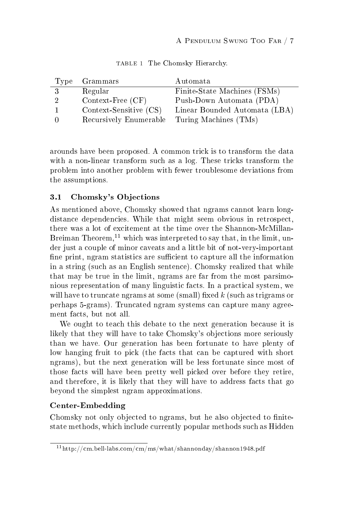|     | Type Grammars                                | Automata                      |
|-----|----------------------------------------------|-------------------------------|
| 3   | Regular                                      | Finite-State Machines (FSMs)  |
| - 2 | Context-Free (CF)                            | Push-Down Automata (PDA)      |
|     | Context-Sensitive (CS)                       | Linear Bounded Automata (LBA) |
|     | Recursively Enumerable Turing Machines (TMs) |                               |

TABLE 1 The Chomsky Hierarchy.

arounds have been proposed. A common trick is to transform the data with a non-linear transform such as a log. These tricks transform the problem into another problem with fewer troublesome deviations from the assumptions.

# 3.1 Chomsky's Objections

As mentioned above, Chomsky showed that ngrams cannot learn longdistance dependencies. While that might seem obvious in retrospect, there was a lot of excitement at the time over the Shannon-McMillan-Breiman Theorem,<sup>11</sup> which was interpreted to say that, in the limit, under just a couple of minor caveats and a little bit of not-very-important fine print, ngram statistics are sufficient to capture all the information in a string (such as an English sentence). Chomsky realized that while that may be true in the limit, ngrams are far from the most parsimonious representation of many linguistic facts. In a practical system, we will have to truncate ngrams at some (small) fixed  $k$  (such as trigrams or perhaps 5-grams). Truncated ngram systems can capture many agreement facts, but not all.

We ought to teach this debate to the next generation because it is likely that they will have to take Chomsky's objections more seriously than we have. Our generation has been fortunate to have plenty of low hanging fruit to pick (the facts that can be captured with short ngrams), but the next generation will be less fortunate since most of those facts will have been pretty well picked over before they retire, and therefore, it is likely that they will have to address facts that go beyond the simplest ngram approximations.

#### Center-Embedding

Chomsky not only objected to ngrams, but he also objected to finitestate methods, which include currently popular methods such as Hidden

 $11$ http://cm.bell-labs.com/cm/ms/what/shannonday/shannon1948.pdf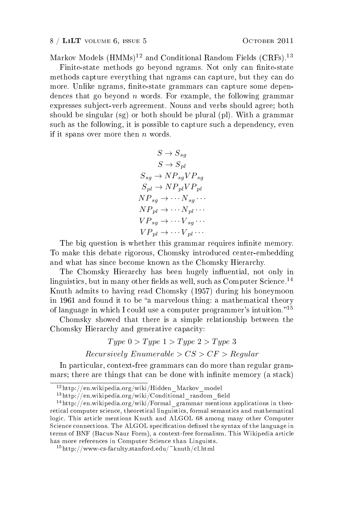Markov Models  $(HMMs)^{12}$  and Conditional Random Fields  $(CRFs)$ .<sup>13</sup>

Finite-state methods go beyond ngrams. Not only can finite-state methods capture everything that ngrams can capture, but they can do more. Unlike ngrams, finite-state grammars can capture some dependences that go beyond  $n$  words. For example, the following grammar expresses subject-verb agreement. Nouns and verbs should agree; both should be singular (sg) or both should be plural (pl). With a grammar such as the following, it is possible to capture such a dependency, even if it spans over more then  $n$  words.

$$
S \rightarrow S_{sg}
$$
  
\n
$$
S \rightarrow S_{pl}
$$
  
\n
$$
S_{sg} \rightarrow NP_{sg}VP_{sg}
$$
  
\n
$$
S_{pl} \rightarrow NP_{pl}VP_{pl}
$$
  
\n
$$
NP_{sg} \rightarrow \cdots N_{sg} \cdots
$$
  
\n
$$
NP_{pl} \rightarrow \cdots V_{sg} \cdots
$$
  
\n
$$
VP_{pl} \rightarrow \cdots V_{pl} \cdots
$$

The big question is whether this grammar requires infinite memory. To make this debate rigorous, Chomsky introduced center-embedding and what has since become known as the Chomsky Hierarchy.

The Chomsky Hierarchy has been hugely influential, not only in linguistics, but in many other fields as well, such as Computer Science.<sup>14</sup> Knuth admits to having read Chomsky (1957) during his honeymoon in 1961 and found it to be "a marvelous thing: a mathematical theory of language in which I could use a computer programmer's intuition."<sup>15</sup>

Chomsky showed that there is a simple relationship between the Chomsky Hierarchy and generative capacity:

$$
Type\ 0 > Type\ 1 > Type\ 2 > Type\ 3
$$

 $Recursively Enumerable > CS > CF > Regular$ 

In particular, context-free grammars can do more than regular grammars; there are things that can be done with infinite memory (a stack)

<sup>12</sup>http://en.wikipedia.org/wiki/Hidden\_Markov\_model

 $13$ http://en.wikipedia.org/wiki/Conditional\_random\_field

 $14$ http://en.wikipedia.org/wiki/Formal\_grammar mentions applications in theoretical computer science, theoretical linguistics, formal semantics and mathematical logic. This article mentions Knuth and ALGOL 68 among many other Computer Science connections. The ALGOL specification defined the syntax of the language in terms of BNF (Bacus-Naur Form), a context-free formalism. This Wikipedia article has more references in Computer Science than Linguists.

<sup>15</sup>http://www-cs-faculty.stanford.edu/~knuth/cl.html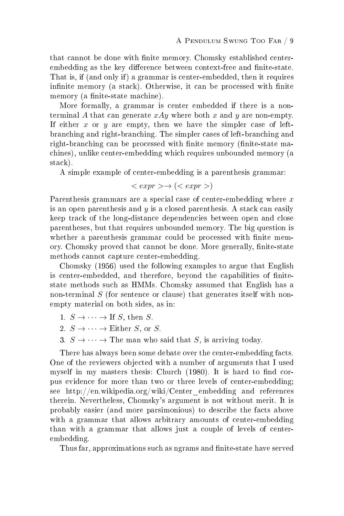that cannot be done with finite memory. Chomsky established centerembedding as the key difference between context-free and finite-state. That is, if (and only if) a grammar is center-embedded, then it requires infinite memory (a stack). Otherwise, it can be processed with finite memory (a finite-state machine).

More formally, a grammar is center embedded if there is a nonterminal A that can generate  $xAy$  where both x and y are non-empty. If either x or y are empty, then we have the simpler case of leftbranching and right-branching. The simpler cases of left-branching and right-branching can be processed with finite memory (finite-state machines), unlike center-embedding which requires unbounded memory (a stack).

A simple example of center-embedding is a parenthesis grammar:

$$
\langle \text{ expr} \rangle \rightarrow (\langle \text{ expr} \rangle)
$$

Parenthesis grammars are a special case of center-embedding where  $x$ is an open parenthesis and  $y$  is a closed parenthesis. A stack can easily keep track of the long-distance dependencies between open and close parentheses, but that requires unbounded memory. The big question is whether a parenthesis grammar could be processed with finite memory. Chomsky proved that cannot be done. More generally, finite-state methods cannot capture center-embedding.

Chomsky (1956) used the following examples to argue that English is center-embedded, and therefore, beyond the capabilities of finitestate methods such as HMMs. Chomsky assumed that English has a non-terminal  $S$  (for sentence or clause) that generates itself with nonempty material on both sides, as in:

- 1.  $S \to \cdots \to \text{If } S$ , then S.
- 2.  $S \to \cdots \to$  Either S, or S.
- 3.  $S \rightarrow \cdots \rightarrow$  The man who said that S, is arriving today.

There has always been some debate over the center-embedding facts. One of the reviewers objected with a number of arguments that I used myself in my masters thesis: Church  $(1980)$ . It is hard to find corpus evidence for more than two or three levels of center-embedding; see http://en.wikipedia.org/wiki/Center\_embedding and references therein. Nevertheless, Chomsky's argument is not without merit. It is probably easier (and more parsimonious) to describe the facts above with a grammar that allows arbitrary amounts of center-embedding than with a grammar that allows just a couple of levels of centerembedding.

Thus far, approximations such as ngrams and finite-state have served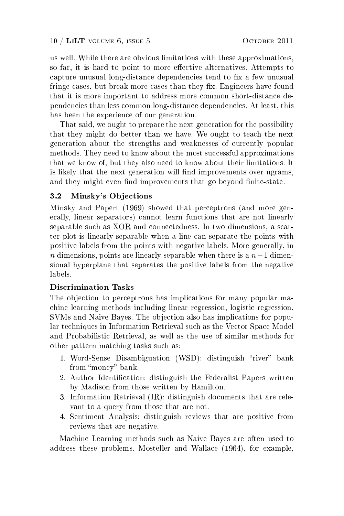us well. While there are obvious limitations with these approximations, so far, it is hard to point to more effective alternatives. Attempts to capture unusual long-distance dependencies tend to fix a few unusual fringe cases, but break more cases than they fix. Engineers have found that it is more important to address more common short-distance dependencies than less common long-distance dependencies. At least, this has been the experience of our generation.

That said, we ought to prepare the next generation for the possibility that they might do better than we have. We ought to teach the next generation about the strengths and weaknesses of currently popular methods. They need to know about the most successful approximations that we know of, but they also need to know about their limitations. It is likely that the next generation will find improvements over ngrams, and they might even find improvements that go beyond finite-state.

## 3.2 Minsky's Objections

Minsky and Papert (1969) showed that perceptrons (and more generally, linear separators) cannot learn functions that are not linearly separable such as XOR and connectedness. In two dimensions, a scatter plot is linearly separable when a line can separate the points with positive labels from the points with negative labels. More generally, in n dimensions, points are linearly separable when there is a  $n-1$  dimensional hyperplane that separates the positive labels from the negative labels.

#### Discrimination Tasks

The objection to perceptrons has implications for many popular machine learning methods including linear regression, logistic regression, SVMs and Naive Bayes. The objection also has implications for popular techniques in Information Retrieval such as the Vector Space Model and Probabilistic Retrieval, as well as the use of similar methods for other pattern matching tasks such as:

- 1. Word-Sense Disambiguation (WSD): distinguish "river" bank from "money" bank.
- 2. Author Identification: distinguish the Federalist Papers written by Madison from those written by Hamilton.
- 3. Information Retrieval (IR): distinguish documents that are relevant to a query from those that are not.
- 4. Sentiment Analysis: distinguish reviews that are positive from reviews that are negative.

Machine Learning methods such as Naive Bayes are often used to address these problems. Mosteller and Wallace (1964), for example,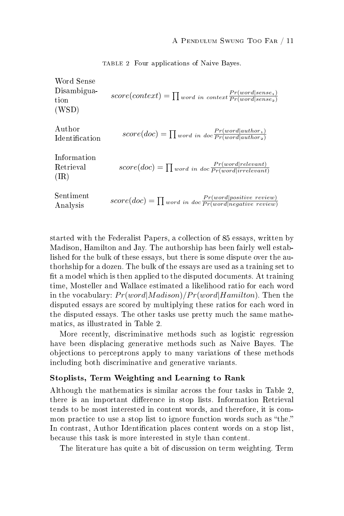| Word Sense<br>Disambigua-<br>tion<br>(WSD) | $score(context) = \prod_{word in context} \frac{Pr(word sense_1)}{Pr(word sense_2)}$           |
|--------------------------------------------|------------------------------------------------------------------------------------------------|
| Author<br><b>Identification</b>            | $score(doc) = \prod_{word in doc} \frac{Pr(word author_1)}{Pr(word author_2)}$                 |
| Information<br>Retrieval<br>(IR)           | $score(doc) = \prod_{word in doc} \frac{Pr(word relevant)}{Pr(word irrelevant)}$               |
| Sentiment<br>Analysis                      | $score(doc) = \prod_{word in doc} \frac{Pr(word positive\ review)}{Pr(word negative\ review)}$ |

TABLE 2 Four applications of Naive Bayes.

started with the Federalist Papers, a collection of 85 essays, written by Madison, Hamilton and Jay. The authorship has been fairly well established for the bulk of these essays, but there is some dispute over the authorhship for a dozen. The bulk of the essays are used as a training set to fit a model which is then applied to the disputed documents. At training time, Mosteller and Wallace estimated a likelihood ratio for each word in the vocabulary:  $Pr(word|Madison)/Pr(word|Hamilton)$ . Then the disputed essays are scored by multiplying these ratios for each word in the disputed essays. The other tasks use pretty much the same mathematics, as illustrated in Table 2.

More recently, discriminative methods such as logistic regression have been displacing generative methods such as Naive Bayes. The objections to perceptrons apply to many variations of these methods including both discriminative and generative variants.

#### Stoplists, Term Weighting and Learning to Rank

Although the mathematics is similar across the four tasks in Table 2, there is an important difference in stop lists. Information Retrieval tends to be most interested in content words, and therefore, it is common practice to use a stop list to ignore function words such as "the." In contrast, Author Identification places content words on a stop list, because this task is more interested in style than content.

The literature has quite a bit of discussion on term weighting. Term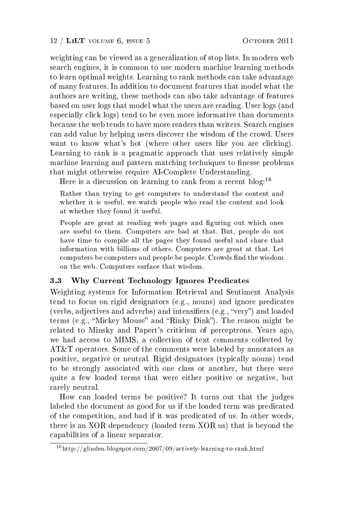weighting can be viewed as a generalization of stop lists. In modern web search engines, it is common to use modern machine learning methods to learn optimal weights. Learning to rank methods can take advantage of many features. In addition to document features that model what the authors are writing, these methods can also take advantage of features based on user logs that model what the users are reading. User logs (and especially click logs) tend to be even more informative than documents because the web tends to have more readers than writers. Search engines can add value by helping users discover the wisdom of the crowd. Users want to know what's hot (where other users like you are clicking). Learning to rank is a pragmatic approach that uses relatively simple machine learning and pattern matching techniques to finesse problems that might otherwise require AI-Complete Understanding.

Here is a discussion on learning to rank from a recent blog:<sup>16</sup>

Rather than trying to get computers to understand the content and whether it is useful, we watch people who read the content and look at whether they found it useful.

People are great at reading web pages and figuring out which ones are useful to them. Computers are bad at that. But, people do not have time to compile all the pages they found useful and share that information with billions of others. Computers are great at that. Let computers be computers and people be people. Crowds find the wisdom on the web. Computers surface that wisdom.

# 3.3 Why Current Technology Ignores Predicates

Weighting systems for Information Retrieval and Sentiment Analysis tend to focus on rigid designators (e.g., nouns) and ignore predicates (verbs, adjectives and adverbs) and intensifiers (e.g., "very") and loaded terms (e.g., "Mickey Mouse" and "Rinky Dink"). The reason might be related to Minsky and Papert's criticism of perceptrons. Years ago, we had access to MIMS, a collection of text comments collected by AT&T operators. Some of the comments were labeled by annotators as positive, negative or neutral. Rigid designators (typically nouns) tend to be strongly associated with one class or another, but there were quite a few loaded terms that were either positive or negative, but rarely neutral.

How can loaded terms be positive? It turns out that the judges labeled the document as good for us if the loaded term was predicated of the competition, and bad if it was predicated of us. In other words, there is an XOR dependency (loaded term XOR us) that is beyond the capabilities of a linear separator.

<sup>16</sup>http://glinden.blogspot.com/2007/09/actively-learning-to-rank.html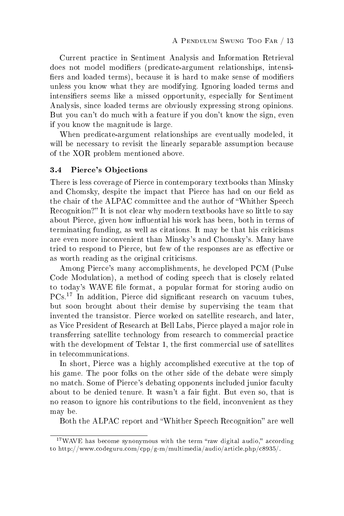Current practice in Sentiment Analysis and Information Retrieval does not model modifiers (predicate-argument relationships, intensifiers and loaded terms), because it is hard to make sense of modifiers unless you know what they are modifying. Ignoring loaded terms and intensifiers seems like a missed opportunity, especially for Sentiment Analysis, since loaded terms are obviously expressing strong opinions. But you can't do much with a feature if you don't know the sign, even if you know the magnitude is large.

When predicate-argument relationships are eventually modeled, it will be necessary to revisit the linearly separable assumption because of the XOR problem mentioned above.

#### 3.4 Pierce's Objections

There is less coverage of Pierce in contemporary textbooks than Minsky and Chomsky, despite the impact that Pierce has had on our field as the chair of the ALPAC committee and the author of Whither Speech Recognition?" It is not clear why modern textbooks have so little to say about Pierce, given how influential his work has been, both in terms of terminating funding, as well as citations. It may be that his criticisms are even more inconvenient than Minsky's and Chomsky's. Many have tried to respond to Pierce, but few of the responses are as effective or as worth reading as the original criticisms.

Among Pierce's many accomplishments, he developed PCM (Pulse Code Modulation), a method of coding speech that is closely related to today's WAVE file format, a popular format for storing audio on PCs.<sup>17</sup> In addition, Pierce did significant research on vacuum tubes, but soon brought about their demise by supervising the team that invented the transistor. Pierce worked on satellite research, and later, as Vice President of Research at Bell Labs, Pierce played a major role in transferring satellite technology from research to commercial practice with the development of Telstar 1, the first commercial use of satellites in telecommunications.

In short, Pierce was a highly accomplished executive at the top of his game. The poor folks on the other side of the debate were simply no match. Some of Pierce's debating opponents included junior faculty about to be denied tenure. It wasn't a fair fight. But even so, that is no reason to ignore his contributions to the field, inconvenient as they may be.

Both the ALPAC report and "Whither Speech Recognition" are well

 $17$ WAVE has become synonymous with the term "raw digital audio," according to http://www.codeguru.com/cpp/g-m/multimedia/audio/article.php/c8935/.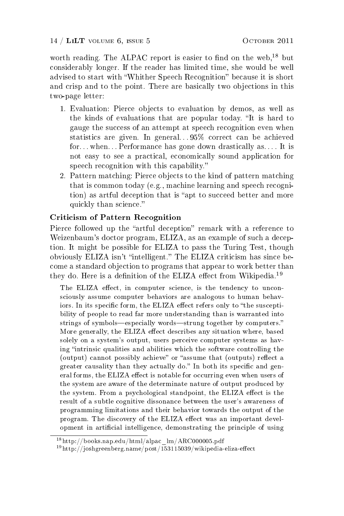worth reading. The ALPAC report is easier to find on the web,  $^{18}$  but considerably longer. If the reader has limited time, she would be well advised to start with "Whither Speech Recognition" because it is short and crisp and to the point. There are basically two objections in this two-page letter:

- 1. Evaluation: Pierce objects to evaluation by demos, as well as the kinds of evaluations that are popular today. "It is hard to gauge the success of an attempt at speech recognition even when statistics are given. In general.  $.95\%$  correct can be achieved for. . . when. . . Performance has gone down drastically as. . . . It is not easy to see a practical, economically sound application for speech recognition with this capability.
- 2. Pattern matching: Pierce objects to the kind of pattern matching that is common today (e.g., machine learning and speech recognition) as artful deception that is "apt to succeed better and more quickly than science.

## Criticism of Pattern Recognition

Pierce followed up the "artful deception" remark with a reference to Weizenbaum's doctor program, ELIZA, as an example of such a deception. It might be possible for ELIZA to pass the Turing Test, though obviously ELIZA isn't "intelligent." The ELIZA criticism has since become a standard objection to programs that appear to work better than they do. Here is a definition of the ELIZA effect from Wikipedia.<sup>19</sup>

The ELIZA effect, in computer science, is the tendency to unconsciously assume computer behaviors are analogous to human behaviors. In its specific form, the ELIZA effect refers only to "the susceptibility of people to read far more understanding than is warranted into strings of symbols-especially words-strung together by computers." More generally, the ELIZA effect describes any situation where, based solely on a system's output, users perceive computer systems as having "intrinsic qualities and abilities which the software controlling the (output) cannot possibly achieve" or "assume that (outputs) reflect a greater causality than they actually do." In both its specific and general forms, the ELIZA effect is notable for occurring even when users of the system are aware of the determinate nature of output produced by the system. From a psychological standpoint, the ELIZA effect is the result of a subtle cognitive dissonance between the user's awareness of programming limitations and their behavior towards the output of the program. The discovery of the ELIZA effect was an important development in artificial intelligence, demonstrating the principle of using

 $18$ http://books.nap.edu/html/alpac\_lm/ARC000005.pdf

 $19$ http://joshgreenberg.name/post/153115039/wikipedia-eliza-effect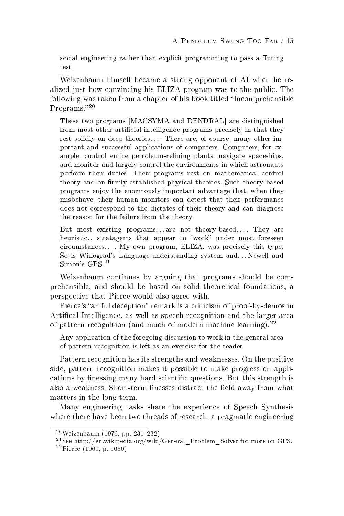social engineering rather than explicit programming to pass a Turing test.

Weizenbaum himself became a strong opponent of AI when he realized just how convincing his ELIZA program was to the public. The following was taken from a chapter of his book titled "Incomprehensible" Programs."20

These two programs [MACSYMA and DENDRAL] are distinguished from most other artificial-intelligence programs precisely in that they rest solidly on deep theories.... There are, of course, many other important and successful applications of computers. Computers, for example, control entire petroleum-refining plants, navigate spaceships, and monitor and largely control the environments in which astronauts perform their duties. Their programs rest on mathematical control theory and on firmly established physical theories. Such theory-based programs enjoy the enormously important advantage that, when they misbehave, their human monitors can detect that their performance does not correspond to the dictates of their theory and can diagnose the reason for the failure from the theory.

But most existing programs. . are not theory-based.... They are heuristic...stratagems that appear to "work" under most foreseen circumstances. . . . My own program, ELIZA, was precisely this type. So is Winograd's Language-understanding system and. . . Newell and  $Simon's GPS.<sup>21</sup>$ 

Weizenbaum continues by arguing that programs should be comprehensible, and should be based on solid theoretical foundations, a perspective that Pierce would also agree with.

Pierce's "artful deception" remark is a criticism of proof-by-demos in Artifical Intelligence, as well as speech recognition and the larger area of pattern recognition (and much of modern machine learning).<sup>22</sup>

Any application of the foregoing discussion to work in the general area of pattern recognition is left as an exercise for the reader.

Pattern recognition has its strengths and weaknesses. On the positive side, pattern recognition makes it possible to make progress on applications by finessing many hard scientific questions. But this strength is also a weakness. Short-term finesses distract the field away from what matters in the long term.

Many engineering tasks share the experience of Speech Synthesis where there have been two threads of research: a pragmatic engineering

 $^{20}$ Weizenbaum (1976, pp. 231-232)

<sup>&</sup>lt;sup>21</sup>See http://en.wikipedia.org/wiki/General\_Problem\_Solver for more on GPS.

 $^{22}$ Pierce (1969, p. 1050)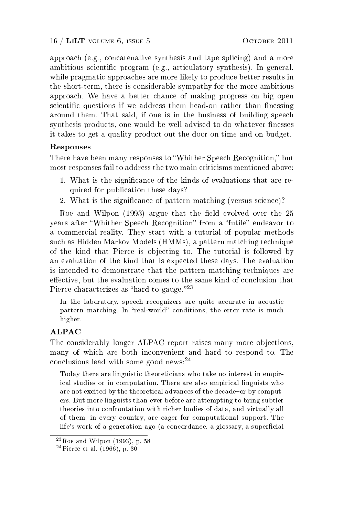approach (e.g., concatenative synthesis and tape splicing) and a more ambitious scientific program (e.g., articulatory synthesis). In general, while pragmatic approaches are more likely to produce better results in the short-term, there is considerable sympathy for the more ambitious approach. We have a better chance of making progress on big open scientific questions if we address them head-on rather than finessing around them. That said, if one is in the business of building speech synthesis products, one would be well advised to do whatever finesses it takes to get a quality product out the door on time and on budget.

## Responses

There have been many responses to "Whither Speech Recognition," but most responses fail to address the two main criticisms mentioned above:

- 1. What is the signicance of the kinds of evaluations that are required for publication these days?
- 2. What is the signicance of pattern matching (versus science)?

Roe and Wilpon  $(1993)$  argue that the field evolved over the 25 years after "Whither Speech Recognition" from a "futile" endeavor to a commercial reality. They start with a tutorial of popular methods such as Hidden Markov Models (HMMs), a pattern matching technique of the kind that Pierce is objecting to. The tutorial is followed by an evaluation of the kind that is expected these days. The evaluation is intended to demonstrate that the pattern matching techniques are effective, but the evaluation comes to the same kind of conclusion that Pierce characterizes as "hard to gauge."<sup>23</sup>

In the laboratory, speech recognizers are quite accurate in acoustic pattern matching. In "real-world" conditions, the error rate is much higher.

# ALPAC

The considerably longer ALPAC report raises many more objections, many of which are both inconvenient and hard to respond to. The conclusions lead with some good news:<sup>24</sup>

Today there are linguistic theoreticians who take no interest in empirical studies or in computation. There are also empirical linguists who are not excited by the theoretical advances of the decade-or by computers. But more linguists than ever before are attempting to bring subtler theories into confrontation with richer bodies of data, and virtually all of them, in every country, are eager for computational support. The life's work of a generation ago (a concordance, a glossary, a superficial

 $^{23}$ Roe and Wilpon (1993), p. 58

 $24$ Pierce et al. (1966), p. 30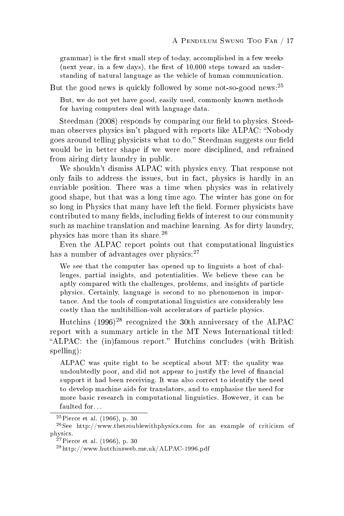grammar) is the first small step of today, accomplished in a few weeks (next year, in a few days), the first of  $10,000$  steps toward an understanding of natural language as the vehicle of human communication.

But the good news is quickly followed by some not-so-good news:<sup>25</sup>

But, we do not yet have good, easily used, commonly known methods for having computers deal with language data.

Steedman (2008) responds by comparing our field to physics. Steedman observes physics isn't plagued with reports like ALPAC: "Nobody goes around telling physicists what to do." Steedman suggests our field would be in better shape if we were more disciplined, and refrained from airing dirty laundry in public.

We shouldn't dismiss ALPAC with physics envy. That response not only fails to address the issues, but in fact, physics is hardly in an enviable position. There was a time when physics was in relatively good shape, but that was a long time ago. The winter has gone on for so long in Physics that many have left the field. Former physicists have contributed to many fields, including fields of interest to our community such as machine translation and machine learning. As for dirty laundry, physics has more than its share.<sup>26</sup>

Even the ALPAC report points out that computational linguistics has a number of advantages over physics: $27$ 

We see that the computer has opened up to linguists a host of challenges, partial insights, and potentialities. We believe these can be aptly compared with the challenges, problems, and insights of particle physics. Certainly, language is second to no phenomenon in importance. And the tools of computational linguistics are considerably less costly than the multibillion-volt accelerators of particle physics.

Hutchins  $(1996)^{28}$  recognized the 30th anniversary of the ALPAC report with a summary article in the MT News International titled: "ALPAC: the (in)famous report." Hutchins concludes (with British spelling):

ALPAC was quite right to be sceptical about MT: the quality was undoubtedly poor, and did not appear to justify the level of financial support it had been receiving. It was also correct to identify the need to develop machine aids for translators, and to emphasise the need for more basic research in computational linguistics. However, it can be faulted for...

 $^{25}$ Pierce et al. (1966), p. 30

 $^{26}$ See http://www.thetroublewithphysics.com for an example of criticism of physics.

 $^{27}$ Pierce et al. (1966), p. 30

<sup>28</sup>http://www.hutchinsweb.me.uk/ALPAC-1996.pdf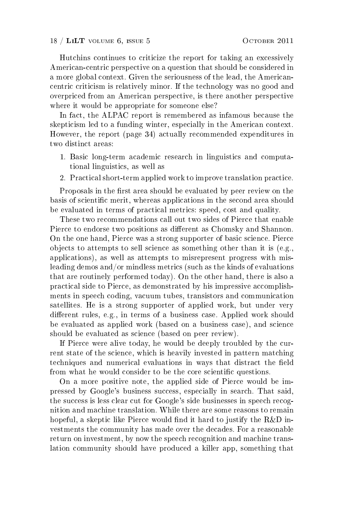Hutchins continues to criticize the report for taking an excessively American-centric perspective on a question that should be considered in a more global context. Given the seriousness of the lead, the Americancentric criticism is relatively minor. If the technology was no good and overpriced from an American perspective, is there another perspective where it would be appropriate for someone else?

In fact, the ALPAC report is remembered as infamous because the skepticism led to a funding winter, especially in the American context. However, the report (page 34) actually recommended expenditures in two distinct areas:

- 1. Basic long-term academic research in linguistics and computational linguistics, as well as
- 2. Practical short-term applied work to improve translation practice.

Proposals in the first area should be evaluated by peer review on the basis of scientific merit, whereas applications in the second area should be evaluated in terms of practical metrics: speed, cost and quality.

These two recommendations call out two sides of Pierce that enable Pierce to endorse two positions as different as Chomsky and Shannon. On the one hand, Pierce was a strong supporter of basic science. Pierce objects to attempts to sell science as something other than it is (e.g., applications), as well as attempts to misrepresent progress with misleading demos and/or mindless metrics (such as the kinds of evaluations that are routinely performed today). On the other hand, there is also a practical side to Pierce, as demonstrated by his impressive accomplishments in speech coding, vacuum tubes, transistors and communication satellites. He is a strong supporter of applied work, but under very different rules, e.g., in terms of a business case. Applied work should be evaluated as applied work (based on a business case), and science should be evaluated as science (based on peer review).

If Pierce were alive today, he would be deeply troubled by the current state of the science, which is heavily invested in pattern matching techniques and numerical evaluations in ways that distract the field from what he would consider to be the core scientific questions.

On a more positive note, the applied side of Pierce would be impressed by Google's business success, especially in search. That said, the success is less clear cut for Google's side businesses in speech recognition and machine translation. While there are some reasons to remain hopeful, a skeptic like Pierce would find it hard to justify the  $R\&D$  investments the community has made over the decades. For a reasonable return on investment, by now the speech recognition and machine translation community should have produced a killer app, something that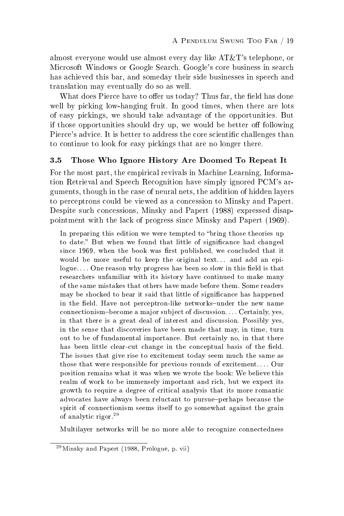almost everyone would use almost every day like AT&T's telephone, or Microsoft Windows or Google Search. Google's core business in search has achieved this bar, and someday their side businesses in speech and translation may eventually do so as well.

What does Pierce have to offer us today? Thus far, the field has done well by picking low-hanging fruit. In good times, when there are lots of easy pickings, we should take advantage of the opportunities. But if those opportunities should dry up, we would be better off following Pierce's advice. It is better to address the core scientific challenges than to continue to look for easy pickings that are no longer there.

# 3.5 Those Who Ignore History Are Doomed To Repeat It

For the most part, the empirical revivals in Machine Learning, Information Retrieval and Speech Recognition have simply ignored PCM's arguments, though in the case of neural nets, the addition of hidden layers to perceptrons could be viewed as a concession to Minsky and Papert. Despite such concessions, Minsky and Papert (1988) expressed disappointment with the lack of progress since Minsky and Papert (1969).

In preparing this edition we were tempted to "bring those theories up to date." But when we found that little of significance had changed since 1969, when the book was first published, we concluded that it would be more useful to keep the original text... and add an epilogue.... One reason why progress has been so slow in this field is that researchers unfamiliar with its history have continued to make many of the same mistakes that others have made before them. Some readers may be shocked to hear it said that little of signicance has happened in the field. Have not perceptron-like networks-under the new name connectionism-become a major subject of discussion. . . . Certainly, yes, in that there is a great deal of interest and discussion. Possibly yes, in the sense that discoveries have been made that may, in time, turn out to be of fundamental importance. But certainly no, in that there has been little clear-cut change in the conceptual basis of the field. The issues that give rise to excitement today seem much the same as those that were responsible for previous rounds of excitement. . . . Our position remains what it was when we wrote the book: We believe this realm of work to be immensely important and rich, but we expect its growth to require a degree of critical analysis that its more romantic advocates have always been reluctant to pursue-perhaps because the spirit of connectionism seems itself to go somewhat against the grain of analytic rigor.<sup>29</sup>

Multilayer networks will be no more able to recognize connectedness

 $^{29}$ Minsky and Papert (1988, Prologue, p. vii)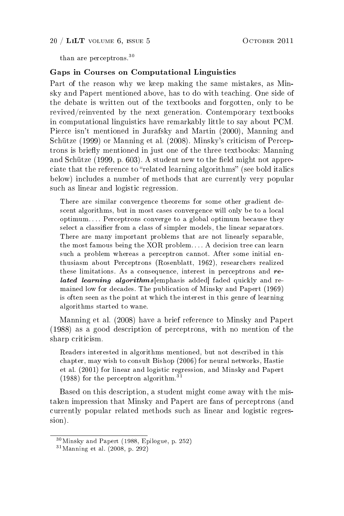#### 20 / LILT VOLUME 6, ISSUE 5 OCTOBER 2011

than are perceptrons.<sup>30</sup>

#### Gaps in Courses on Computational Linguistics

Part of the reason why we keep making the same mistakes, as Minsky and Papert mentioned above, has to do with teaching. One side of the debate is written out of the textbooks and forgotten, only to be revived/reinvented by the next generation. Contemporary textbooks in computational linguistics have remarkably little to say about PCM. Pierce isn't mentioned in Jurafsky and Martin (2000), Manning and Schütze (1999) or Manning et al. (2008). Minsky's criticism of Perceptrons is briefly mentioned in just one of the three textbooks: Manning and Schütze  $(1999, p. 603)$ . A student new to the field might not appreciate that the reference to "related learning algorithms" (see bold italics below) includes a number of methods that are currently very popular such as linear and logistic regression.

There are similar convergence theorems for some other gradient descent algorithms, but in most cases convergence will only be to a local optimum. . . . Perceptrons converge to a global optimum because they select a classifier from a class of simpler models, the linear separators. There are many important problems that are not linearly separable, the most famous being the XOR problem. . . . A decision tree can learn such a problem whereas a perceptron cannot. After some initial enthusiasm about Perceptrons (Rosenblatt, 1962), researchers realized these limitations. As a consequence, interest in perceptrons and related learning algorithms emphasis added faded quickly and remained low for decades. The publication of Minsky and Papert (1969) is often seen as the point at which the interest in this genre of learning algorithms started to wane.

Manning et al. (2008) have a brief reference to Minsky and Papert (1988) as a good description of perceptrons, with no mention of the sharp criticism.

Readers interested in algorithms mentioned, but not described in this chapter, may wish to consult Bishop (2006) for neural networks, Hastie et al. (2001) for linear and logistic regression, and Minsky and Papert (1988) for the perceptron algorithm.<sup>31</sup>

Based on this description, a student might come away with the mistaken impression that Minsky and Papert are fans of perceptrons (and currently popular related methods such as linear and logistic regression).

<sup>30</sup>Minsky and Papert (1988, Epilogue, p. 252)

 $31$  Manning et al. (2008, p. 292)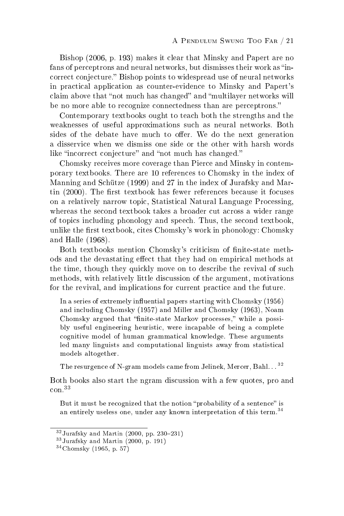Bishop (2006, p. 193) makes it clear that Minsky and Papert are no fans of perceptrons and neural networks, but dismisses their work as "incorrect conjecture." Bishop points to widespread use of neural networks in practical application as counter-evidence to Minsky and Papert's claim above that "not much has changed" and "multilayer networks will be no more able to recognize connectedness than are perceptrons."

Contemporary textbooks ought to teach both the strengths and the weaknesses of useful approximations such as neural networks. Both sides of the debate have much to offer. We do the next generation a disservice when we dismiss one side or the other with harsh words like "incorrect conjecture" and "not much has changed."

Chomsky receives more coverage than Pierce and Minsky in contemporary textbooks. There are 10 references to Chomsky in the index of Manning and Schütze (1999) and 27 in the index of Jurafsky and Martin  $(2000)$ . The first textbook has fewer references because it focuses on a relatively narrow topic, Statistical Natural Language Processing, whereas the second textbook takes a broader cut across a wider range of topics including phonology and speech. Thus, the second textbook, unlike the first textbook, cites Chomsky's work in phonology: Chomsky and Halle (1968).

Both textbooks mention Chomsky's criticism of finite-state methods and the devastating effect that they had on empirical methods at the time, though they quickly move on to describe the revival of such methods, with relatively little discussion of the argument, motivations for the revival, and implications for current practice and the future.

In a series of extremely influential papers starting with Chomsky (1956) and including Chomsky (1957) and Miller and Chomsky (1963), Noam Chomsky argued that "finite-state Markov processes," while a possibly useful engineering heuristic, were incapable of being a complete cognitive model of human grammatical knowledge. These arguments led many linguists and computational linguists away from statistical models altogether.

The resurgence of N-gram models came from Jelinek, Mercer, Bahl. . . <sup>32</sup>

Both books also start the ngram discussion with a few quotes, pro and con.<sup>33</sup>

But it must be recognized that the notion "probability of a sentence" is an entirely useless one, under any known interpretation of this term.<sup>34</sup>

 $32$ Jurafsky and Martin (2000, pp. 230–231)

<sup>33</sup>Jurafsky and Martin (2000, p. 191)

<sup>34</sup>Chomsky (1965, p. 57)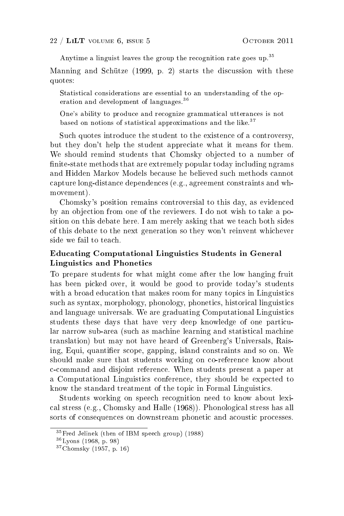Anytime a linguist leaves the group the recognition rate goes up.<sup>35</sup>

Manning and Schütze (1999, p. 2) starts the discussion with these quotes:

Statistical considerations are essential to an understanding of the operation and development of languages.<sup>36</sup>

One's ability to produce and recognize grammatical utterances is not based on notions of statistical approximations and the like.<sup>37</sup>

Such quotes introduce the student to the existence of a controversy, but they don't help the student appreciate what it means for them. We should remind students that Chomsky objected to a number of finite-state methods that are extremely popular today including ngrams and Hidden Markov Models because he believed such methods cannot capture long-distance dependences (e.g., agreement constraints and whmovement).

Chomsky's position remains controversial to this day, as evidenced by an objection from one of the reviewers. I do not wish to take a position on this debate here. I am merely asking that we teach both sides of this debate to the next generation so they won't reinvent whichever side we fail to teach.

# Educating Computational Linguistics Students in General Linguistics and Phonetics

To prepare students for what might come after the low hanging fruit has been picked over, it would be good to provide today's students with a broad education that makes room for many topics in Linguistics such as syntax, morphology, phonology, phonetics, historical linguistics and language universals. We are graduating Computational Linguistics students these days that have very deep knowledge of one particular narrow sub-area (such as machine learning and statistical machine translation) but may not have heard of Greenberg's Universals, Raising, Equi, quantifier scope, gapping, island constraints and so on. We should make sure that students working on co-reference know about c-command and disjoint reference. When students present a paper at a Computational Linguistics conference, they should be expected to know the standard treatment of the topic in Formal Linguistics.

Students working on speech recognition need to know about lexical stress (e.g., Chomsky and Halle (1968)). Phonological stress has all sorts of consequences on downstream phonetic and acoustic processes.

 $35$  Fred Jelinek (then of IBM speech group) (1988)

<sup>36</sup>Lyons (1968, p. 98)

<sup>37</sup>Chomsky (1957, p. 16)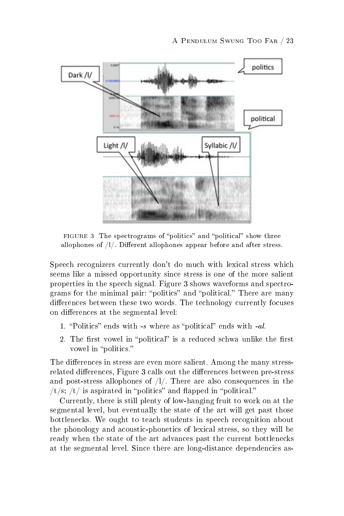

FIGURE 3 The spectrograms of "politics" and "political" show three allophones of  $/1/$ . Different allophones appear before and after stress.

Speech recognizers currently don't do much with lexical stress which seems like a missed opportunity since stress is one of the more salient properties in the speech signal. Figure 3 shows waveforms and spectrograms for the minimal pair: "politics" and "political." There are many differences between these two words. The technology currently focuses on differences at the segmental level:

- 1. "Politics" ends with  $-s$  where as "political" ends with  $-al$ .
- 2. The first vowel in "political" is a reduced schwa unlike the first vowel in "politics."

The differences in stress are even more salient. Among the many stressrelated differences, Figure 3 calls out the differences between pre-stress and post-stress allophones of /l/. There are also consequences in the /t/s; /t/ is aspirated in "politics" and flapped in "political."

Currently, there is still plenty of low-hanging fruit to work on at the segmental level, but eventually the state of the art will get past those bottlenecks. We ought to teach students in speech recognition about the phonology and acoustic-phonetics of lexical stress, so they will be ready when the state of the art advances past the current bottlenecks at the segmental level. Since there are long-distance dependencies as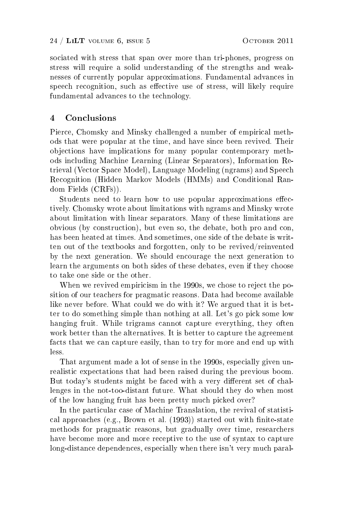sociated with stress that span over more than tri-phones, progress on stress will require a solid understanding of the strengths and weaknesses of currently popular approximations. Fundamental advances in speech recognition, such as effective use of stress, will likely require fundamental advances to the technology.

# 4 Conclusions

Pierce, Chomsky and Minsky challenged a number of empirical methods that were popular at the time, and have since been revived. Their objections have implications for many popular contemporary methods including Machine Learning (Linear Separators), Information Retrieval (Vector Space Model), Language Modeling (ngrams) and Speech Recognition (Hidden Markov Models (HMMs) and Conditional Random Fields (CRFs)).

Students need to learn how to use popular approximations effectively. Chomsky wrote about limitations with ngrams and Minsky wrote about limitation with linear separators. Many of these limitations are obvious (by construction), but even so, the debate, both pro and con, has been heated at times. And sometimes, one side of the debate is written out of the textbooks and forgotten, only to be revived/reinvented by the next generation. We should encourage the next generation to learn the arguments on both sides of these debates, even if they choose to take one side or the other.

When we revived empiricism in the 1990s, we chose to reject the position of our teachers for pragmatic reasons. Data had become available like never before. What could we do with it? We argued that it is better to do something simple than nothing at all. Let's go pick some low hanging fruit. While trigrams cannot capture everything, they often work better than the alternatives. It is better to capture the agreement facts that we can capture easily, than to try for more and end up with less.

That argument made a lot of sense in the 1990s, especially given unrealistic expectations that had been raised during the previous boom. But today's students might be faced with a very different set of challenges in the not-too-distant future. What should they do when most of the low hanging fruit has been pretty much picked over?

In the particular case of Machine Translation, the revival of statistical approaches (e.g., Brown et al.  $(1993)$ ) started out with finite-state methods for pragmatic reasons, but gradually over time, researchers have become more and more receptive to the use of syntax to capture long-distance dependences, especially when there isn't very much paral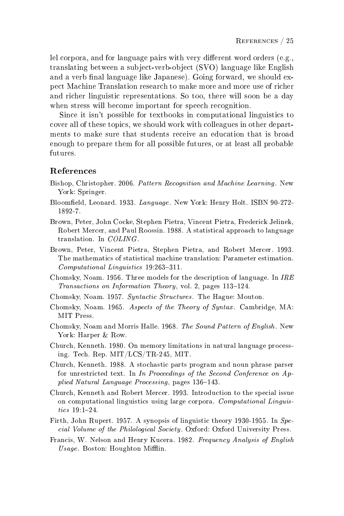lel corpora, and for language pairs with very different word orders  $(e.g.,)$ translating between a subject-verb-object (SVO) language like English and a verb final language like Japanese). Going forward, we should expect Machine Translation research to make more and more use of richer and richer linguistic representations. So too, there will soon be a day when stress will become important for speech recognition.

Since it isn't possible for textbooks in computational linguistics to cover all of these topics, we should work with colleagues in other departments to make sure that students receive an education that is broad enough to prepare them for all possible futures, or at least all probable futures.

#### References

- Bishop, Christopher. 2006. Pattern Recognition and Machine Learning. New York: Springer.
- Bloomeld, Leonard. 1933. Language. New York: Henry Holt. ISBN 90-272- 1892-7.
- Brown, Peter, John Cocke, Stephen Pietra, Vincent Pietra, Frederick Jelinek, Robert Mercer, and Paul Roossin. 1988. A statistical approach to language translation. In COLING.
- Brown, Peter, Vincent Pietra, Stephen Pietra, and Robert Mercer. 1993. The mathematics of statistical machine translation: Parameter estimation.  $Computational\ Linguistics$  19:263-311.
- Chomsky, Noam. 1956. Three models for the description of language. In  $IRE$ Transactions on Information Theory, vol. 2, pages 113-124.
- Chomsky, Noam. 1957. Syntactic Structures. The Hague: Mouton.
- Chomsky, Noam. 1965. Aspects of the Theory of Syntax. Cambridge, MA: MIT Press.
- Chomsky, Noam and Morris Halle. 1968. The Sound Pattern of English. New York: Harper & Row.
- Church, Kenneth. 1980. On memory limitations in natural language processing. Tech. Rep. MIT/LCS/TR-245, MIT.
- Church, Kenneth. 1988. A stochastic parts program and noun phrase parser for unrestricted text. In In Proceedings of the Second Conference on Applied Natural Language Processing, pages 136-143.
- Church, Kenneth and Robert Mercer. 1993. Introduction to the special issue on computational linguistics using large corpora. Computational Linguis $tics$  19:1-24.
- Firth, John Rupert. 1957. A synopsis of linguistic theory 1930-1955. In Special Volume of the Philological Society. Oxford: Oxford University Press.
- Francis, W. Nelson and Henry Kucera. 1982. Frequency Analysis of English  $Usage. Boston: Houghton Mifflin.$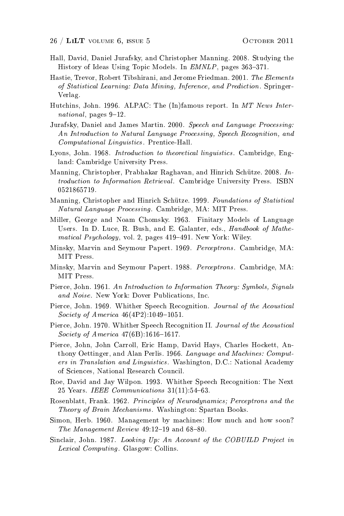- Hall, David, Daniel Jurafsky, and Christopher Manning. 2008. Studying the History of Ideas Using Topic Models. In EMNLP, pages 363-371.
- Hastie, Trevor, Robert Tibshirani, and Jerome Friedman. 2001. The Elements of Statistical Learning: Data Mining, Inference, and Prediction. Springer-Verlag.
- Hutchins, John. 1996. ALPAC: The (In)famous report. In MT News International, pages  $9-12$ .
- Jurafsky, Daniel and James Martin. 2000. Speech and Language Processing: An Introduction to Natural Language Processing, Speech Recognition, and Computational Linguistics. Prentice-Hall.
- Lyons, John. 1968. Introduction to theoretical linguistics. Cambridge, England: Cambridge University Press.
- Manning, Christopher, Prabhakar Raghavan, and Hinrich Schütze. 2008. Introduction to Information Retrieval. Cambridge University Press. ISBN 0521865719.
- Manning, Christopher and Hinrich Schütze. 1999. Foundations of Statistical Natural Language Processing. Cambridge, MA: MIT Press.
- Miller, George and Noam Chomsky. 1963. Finitary Models of Language Users. In D. Luce, R. Bush, and E. Galanter, eds., Handbook of Mathematical Psychology, vol. 2, pages 419-491. New York: Wiley.
- Minsky, Marvin and Seymour Papert. 1969. Perceptrons. Cambridge, MA: MIT Press.
- Minsky, Marvin and Seymour Papert. 1988. Perceptrons. Cambridge, MA: MIT Press.
- Pierce, John. 1961. An Introduction to Information Theory: Symbols, Signals and Noise. New York: Dover Publications, Inc.
- Pierce, John. 1969. Whither Speech Recognition. Journal of the Acoustical Society of America  $46(4P2):1049-1051$ .
- Pierce, John. 1970. Whither Speech Recognition II. Journal of the Acoustical Society of America  $47(6B)$ :1616-1617.
- Pierce, John, John Carroll, Eric Hamp, David Hays, Charles Hockett, Anthony Oettinger, and Alan Perlis. 1966. Language and Machines: Computers in Translation and Linguistics. Washington, D.C.: National Academy of Sciences, National Research Council.
- Roe, David and Jay Wilpon. 1993. Whither Speech Recognition: The Next 25 Years. IEEE Communications  $31(11):54-63$ .
- Rosenblatt, Frank. 1962. Principles of Neurodynamics; Perceptrons and the Theory of Brain Mechanisms. Washington: Spartan Books.
- Simon, Herb. 1960. Management by machines: How much and how soon? The Management Review  $49:12-19$  and  $68-80$ .
- Sinclair, John. 1987. Looking Up: An Account of the COBUILD Project in Lexical Computing. Glasgow: Collins.